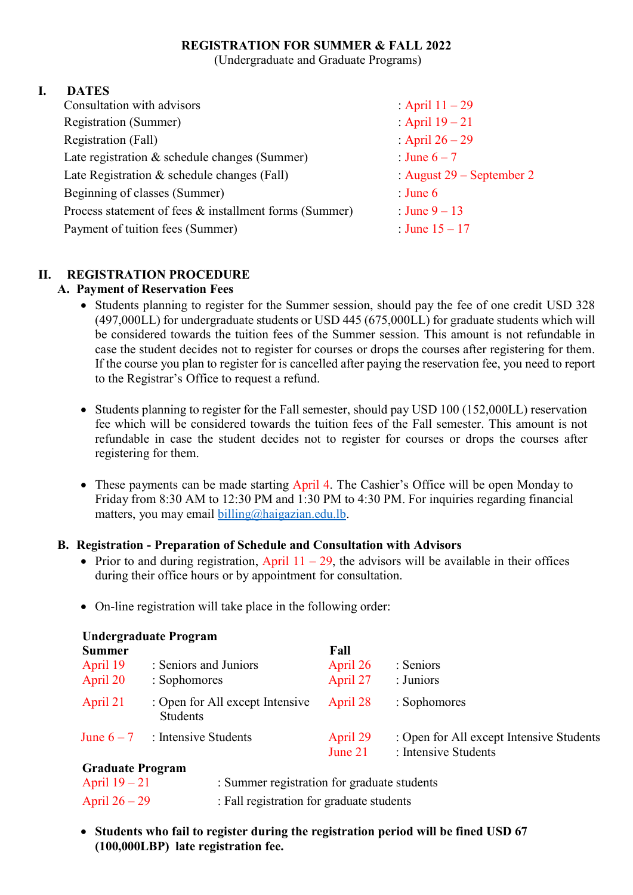#### **REGISTRATION FOR SUMMER & FALL 2022**

(Undergraduate and Graduate Programs)

### **I. DATES**

| Consultation with advisors                             | : April $11 - 29$           |
|--------------------------------------------------------|-----------------------------|
| <b>Registration (Summer)</b>                           | : April $19 - 21$           |
| Registration (Fall)                                    | : April $26 - 29$           |
| Late registration & schedule changes (Summer)          | : June $6-7$                |
| Late Registration & schedule changes (Fall)            | : August $29$ – September 2 |
| Beginning of classes (Summer)                          | : June $6$                  |
| Process statement of fees & installment forms (Summer) | : June $9-13$               |
| Payment of tuition fees (Summer)                       | : June $15 - 17$            |
|                                                        |                             |

# **II. REGISTRATION PROCEDURE**

#### **A. Payment of Reservation Fees**

- Students planning to register for the Summer session, should pay the fee of one credit USD 328 (497,000LL) for undergraduate students or USD 445 (675,000LL) for graduate students which will be considered towards the tuition fees of the Summer session. This amount is not refundable in case the student decides not to register for courses or drops the courses after registering for them. If the course you plan to register for is cancelled after paying the reservation fee, you need to report to the Registrar's Office to request a refund.
- Students planning to register for the Fall semester, should pay USD 100 (152,000LL) reservation fee which will be considered towards the tuition fees of the Fall semester. This amount is not refundable in case the student decides not to register for courses or drops the courses after registering for them.
- These payments can be made starting April 4. The Cashier's Office will be open Monday to Friday from 8:30 AM to 12:30 PM and 1:30 PM to 4:30 PM. For inquiries regarding financial matters, you may email  $\frac{b_1 \cdot b_2}{c_2 \cdot b_1}$  haigazian.edu.lb.

## **B. Registration - Preparation of Schedule and Consultation with Advisors**

- Prior to and during registration, April  $11 29$ , the advisors will be available in their offices during their office hours or by appointment for consultation.
- On-line registration will take place in the following order:

| <b>Undergraduate Program</b> |                                             |                     |                                                                  |  |
|------------------------------|---------------------------------------------|---------------------|------------------------------------------------------------------|--|
| <b>Summer</b>                |                                             | Fall                |                                                                  |  |
| April 19                     | : Seniors and Juniors                       | April 26            | : Seniors                                                        |  |
| April 20                     | : Sophomores                                | April 27            | : Juniors                                                        |  |
| April 21                     | : Open for All except Intensive<br>Students | April 28            | : Sophomores                                                     |  |
| June $6-7$                   | : Intensive Students                        | April 29<br>June 21 | : Open for All except Intensive Students<br>: Intensive Students |  |

#### **Graduate Program**

| April $19-21$   | : Summer registration for graduate students |
|-----------------|---------------------------------------------|
| April $26 - 29$ | : Fall registration for graduate students   |

 **Students who fail to register during the registration period will be fined USD 67 (100,000LBP) late registration fee.**